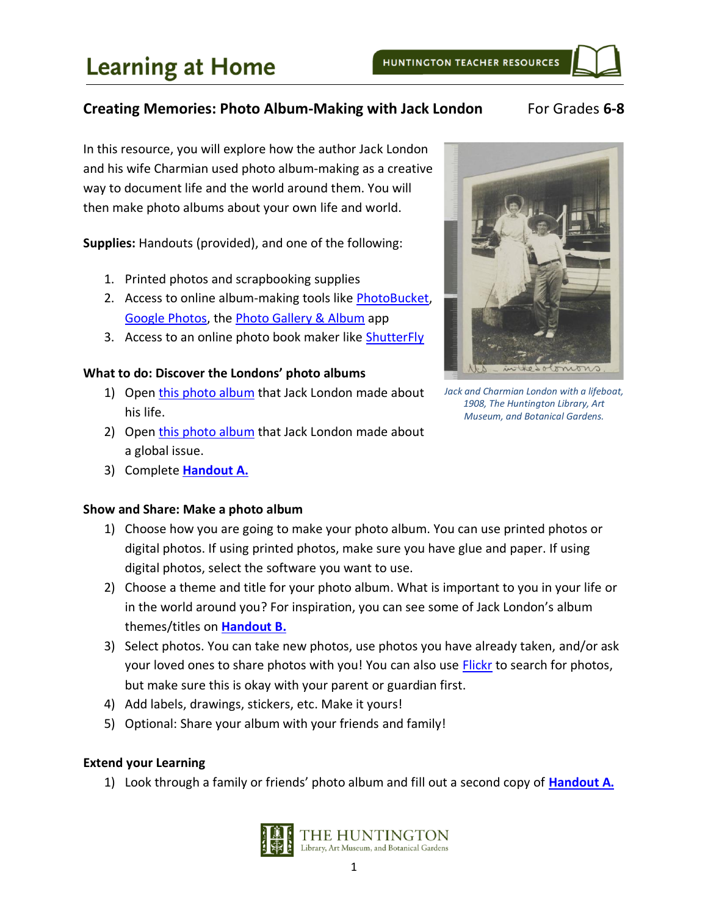### **Creating Memories: Photo Album-Making with Jack London** For Grades 6-8

In this resource, you will explore how the author Jack London and his wife Charmian used photo album-making as a creative way to document life and the world around them. You will then make photo albums about your own life and world.

**Supplies:** Handouts (provided), and one of the following:

- 1. Printed photos and scrapbooking supplies
- 2. Access to online album-making tools like [PhotoBucket,](https://photobucket.com/) [Google Photos,](https://photos.google.com/) the [Photo Gallery & Album](https://play.google.com/store/apps/details?id=photo.album.galleryvault.photogallery&hl=en_US) app
- 3. Access to an online photo book maker like [ShutterFly](https://www.shutterfly.com/)

#### **What to do: Discover the Londons' photo albums**

- 1) Open this [photo album](https://hdl.huntington.org/digital/collection/p16003coll7/id/5223/rec/48) that Jack London made about his life.
- 2) Open this [photo album](https://hdl.huntington.org/digital/collection/p16003coll7/id/3199/rec/40) that Jack London made about a global issue.
- 3) Complete **[Handout A.](#page-1-0)**

#### **Show and Share: Make a photo album**

- 1) Choose how you are going to make your photo album. You can use printed photos or digital photos. If using printed photos, make sure you have glue and paper. If using digital photos, select the software you want to use.
- 2) Choose a theme and title for your photo album. What is important to you in your life or in the world around you? For inspiration, you can see some of Jack London's album themes/titles on **[Handout B.](#page-4-0)**
- 3) Select photos. You can take new photos, use photos you have already taken, and/or ask your loved ones to share photos with you! You can also use [Flickr](https://www.flickr.com/search/?text=&license=4%2C5%2C9%2C10) to search for photos, but make sure this is okay with your parent or guardian first.
- 4) Add labels, drawings, stickers, etc. Make it yours!
- 5) Optional: Share your album with your friends and family!

#### **Extend your Learning**

1) Look through a family or friends' photo album and fill out a second copy of **[Handout A.](#page-1-0)**





*Jack and Charmian London with a lifeboat, 1908, The Huntington Library, Art Museum, and Botanical Gardens.*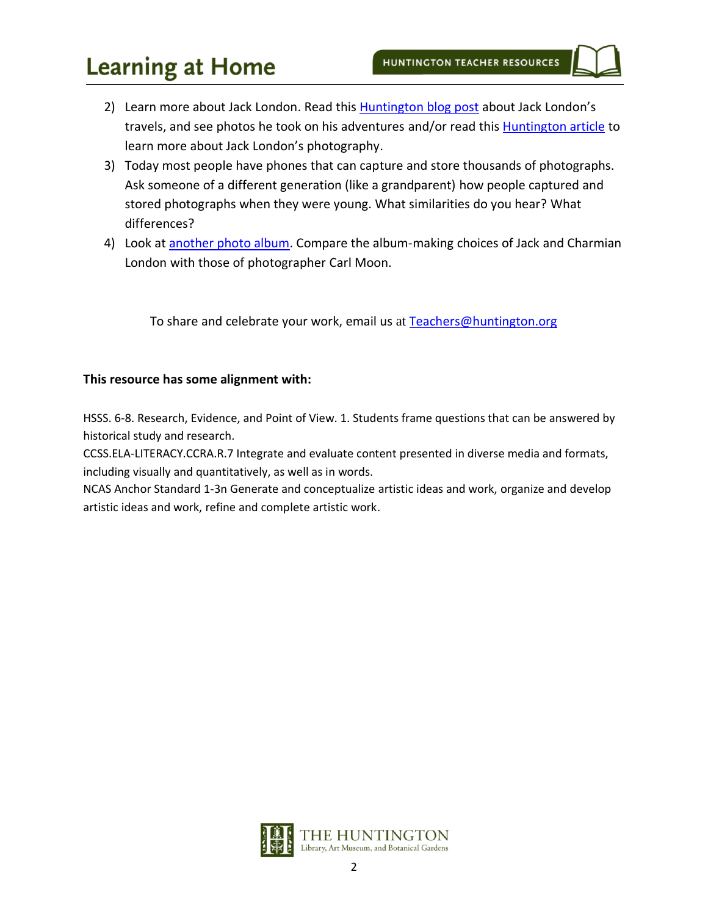# **Learning at Home**

- 2) Learn more about Jack London. Read this **Huntington blog post about Jack London's** travels, and see photos he took on his adventures and/or read thi[s Huntington article](http://media.huntington.org/uploadedfiles/Files/PDFs/f10london.pdf) to learn more about Jack London's photography.
- 3) Today most people have phones that can capture and store thousands of photographs. Ask someone of a different generation (like a grandparent) how people captured and stored photographs when they were young. What similarities do you hear? What differences?
- 4) Look at another [photo album.](https://hdl.huntington.org/digital/collection/p15150coll2/id/7723/rec/1) Compare the album-making choices of Jack and Charmian London with those of photographer Carl Moon.

To share and celebrate your work, email us at [Teachers@huntington.org](mailto:teacher@huntington.org)

#### **This resource has some alignment with:**

HSSS. 6-8. Research, Evidence, and Point of View. 1. Students frame questions that can be answered by historical study and research.

CCSS.ELA-LITERACY.CCRA.R.7 Integrate and evaluate content presented in diverse media and formats, including visually and quantitatively, as well as in words.

<span id="page-1-0"></span>NCAS Anchor Standard 1-3n Generate and conceptualize artistic ideas and work, organize and develop artistic ideas and work, refine and complete artistic work.

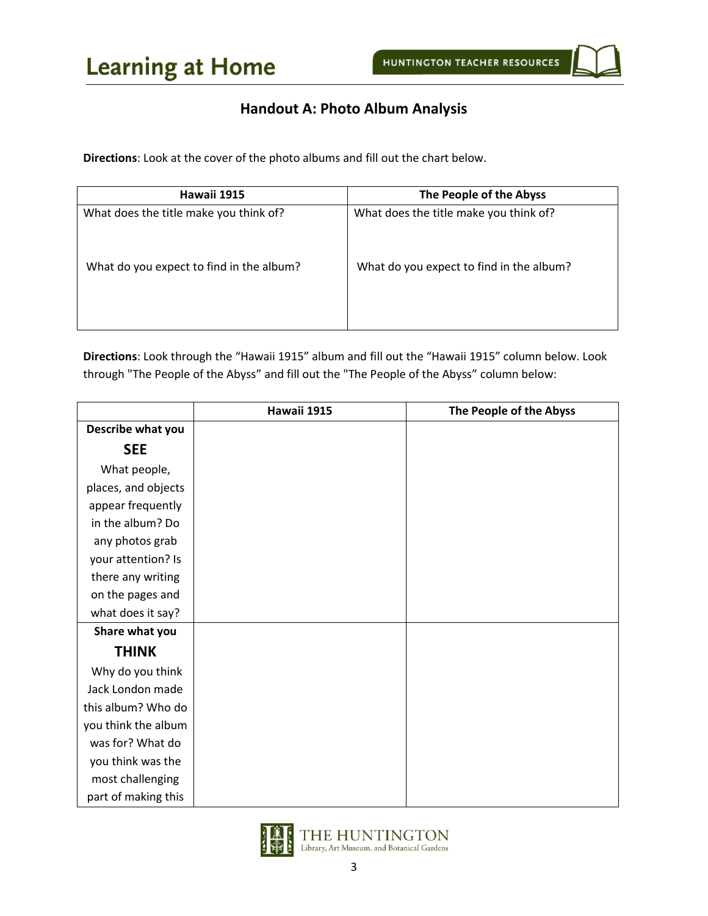## **Handout A: Photo Album Analysis**

**Directions**: Look at the cover of the photo albums and fill out the chart below.

| Hawaii 1915                              | The People of the Abyss                  |
|------------------------------------------|------------------------------------------|
| What does the title make you think of?   | What does the title make you think of?   |
| What do you expect to find in the album? | What do you expect to find in the album? |

**Directions**: Look through the "Hawaii 1915" album and fill out the "Hawaii 1915" column below. Look through "The People of the Abyss" and fill out the "The People of the Abyss" column below:

|                     | Hawaii 1915 | The People of the Abyss |
|---------------------|-------------|-------------------------|
| Describe what you   |             |                         |
| <b>SEE</b>          |             |                         |
| What people,        |             |                         |
| places, and objects |             |                         |
| appear frequently   |             |                         |
| in the album? Do    |             |                         |
| any photos grab     |             |                         |
| your attention? Is  |             |                         |
| there any writing   |             |                         |
| on the pages and    |             |                         |
| what does it say?   |             |                         |
| Share what you      |             |                         |
| <b>THINK</b>        |             |                         |
| Why do you think    |             |                         |
| Jack London made    |             |                         |
| this album? Who do  |             |                         |
| you think the album |             |                         |
| was for? What do    |             |                         |
| you think was the   |             |                         |
| most challenging    |             |                         |
| part of making this |             |                         |

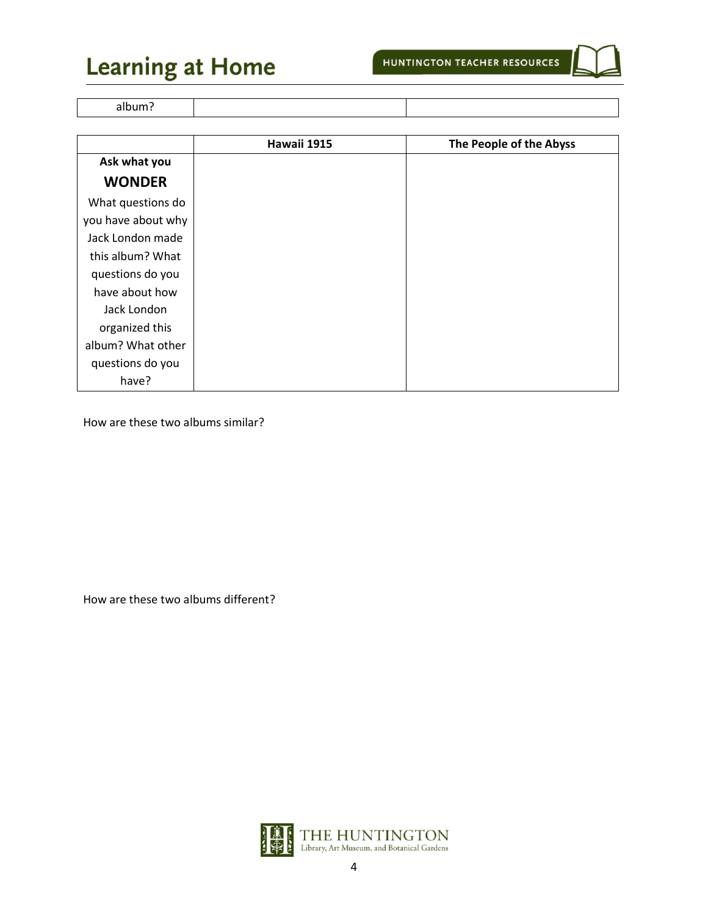# **Learning at Home**

album?

|                    | Hawaii 1915 | The People of the Abyss |
|--------------------|-------------|-------------------------|
| Ask what you       |             |                         |
| <b>WONDER</b>      |             |                         |
| What questions do  |             |                         |
| you have about why |             |                         |
| Jack London made   |             |                         |
| this album? What   |             |                         |
| questions do you   |             |                         |
| have about how     |             |                         |
| Jack London        |             |                         |
| organized this     |             |                         |
| album? What other  |             |                         |
| questions do you   |             |                         |
| have?              |             |                         |

How are these two albums similar?

How are these two albums different?